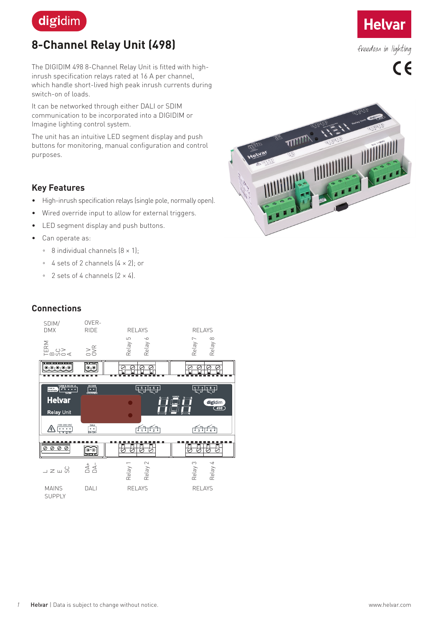

# **8-Channel Relay Unit (498)**

The DIGIDIM 498 8-Channel Relay Unit is fitted with highinrush specification relays rated at 16 A per channel, which handle short-lived high peak inrush currents during switch-on of loads.

It can be networked through either DALI or SDIM communication to be incorporated into a DIGIDIM or Imagine lighting control system.

The unit has an intuitive LED segment display and push buttons for monitoring, manual configuration and control purposes.

## **Key Features**

- High-inrush specification relays (single pole, normally open).
- Wired override input to allow for external triggers.
- LED segment display and push buttons.
- Can operate as:
	- 8 individual channels (8 × 1);
	- 4 sets of 2 channels (4 × 2); or
	- 2 sets of 4 channels (2 × 4).



**Helvar** 

freedom in lighting

 $\epsilon$ 

## **Connections**



*1* Helvar | Data is subject to change without notice. www.helvar.com